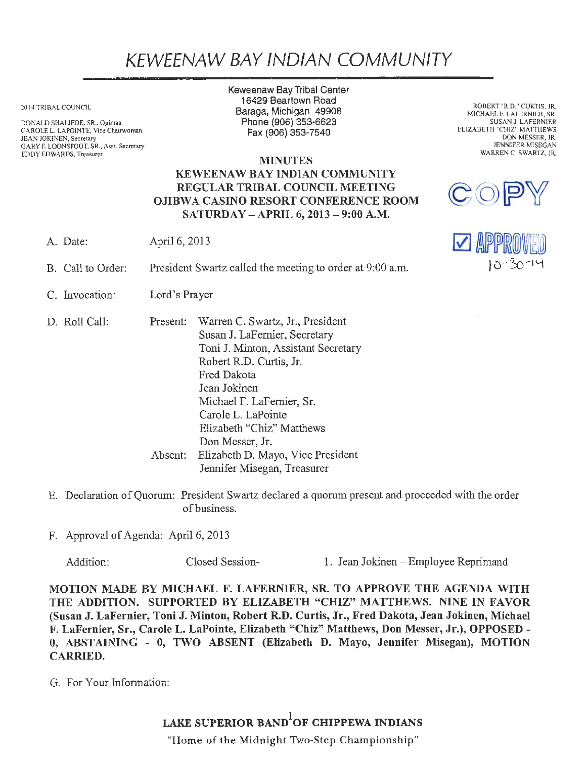## KEWEENAW BAY IND/AN COMMUNITY

20 14 TRIBAL COUNCIL

DONALD SHALIFOE. SR., Ogimaa CAROLE L. LAPOINTE, Vice Chairwoman JEAN JOKINEN, Secretary GARY F. LOONSFOOT, SR., Asst. Secretary EDDY EDWARDS, Treasurer

Keweenaw Bay Tribal Center 16429 Beartown Road Baraga, Michigan 49908 Phone (906) 353-6623 Fax(906)353-7540

ROBERT "R.D." CURTIS, JR. MICHAEL F. LAFERNIER, SR. SUSAN J. LAFERNIER ELIZABETH "CHIZ" MATTHEWS DON MESSER, JR. JENNIFER MISEGAN WARREN C. SWARTZ, JR.

**WARD WARD** 

 $\mathbf{C}^{\prime}(\mathrm{O})$ 

 $10 - 30 - 14$ 

## MINUTES KEWEENAW BAY INDIAN COMMUNITY REGULAR TRIBAL COUNCIL MEETING OJIBWA CASINO RESORT CONFERENCE ROOM SATURDAY -APRIL 6, 2013 - 9:00 A.M.

A. Date: April 6, 2013

- B. Call to Order: President Swartz called the meeting to order at 9:00 a.m.
- C. Invocation: Lord's Prayer

D. Roll Call: Present: Warren C. Swartz, Jr., President Susan J. LaFemier, Secretary Toni J. Minton, Assistant Secretary Robert RD. Curtis, Jr. Fred Dakota Jean Jokinen Michael F. LaFemier, Sr. Carole L. LaPointe Elizabeth "Chiz" Matthews Don Messer, Jr. Absent: Elizabeth D. Mayo, Vice President Jennifer Misegan, Treasurer

- E. Declaration of Quorum: President Swartz declared a quorum present and proceeded with the order of business.
- F. Approval of Agenda: April 6, 2013

Addition: Closed Session- 1. Jean Jokinen - Employee Reprimand

MOTION MADE BY MICHAEL F. LAFERNIER, SR. TO APPROVE THE AGENDA WITH THE ADDITION. SUPPORTED BY ELIZABETH "CHIZ" MATTHEWS. NINE IN FAVOR (Susan J. LaFernier, Toni J. Minton, Robert R.D. Curtis, Jr., Fred Dakota, Jean Jokinen, Michael F. LaFernier, Sr., Carole L. LaPointe, Elizabeth "Chiz" Matthews, Don Messer, Jr.), OPPOSED - 0, ABSTAINING - 0, TWO ABSENT {Elizabeth D. Mayo, Jennifer Misegan), MOTION CARRIED.

G. For Your Infonnation:

LAKE SUPERIOR BAND $^{\rm l}$ OF CHIPPEWA INDIANS

"Home of the Midnight Two-Step Championship"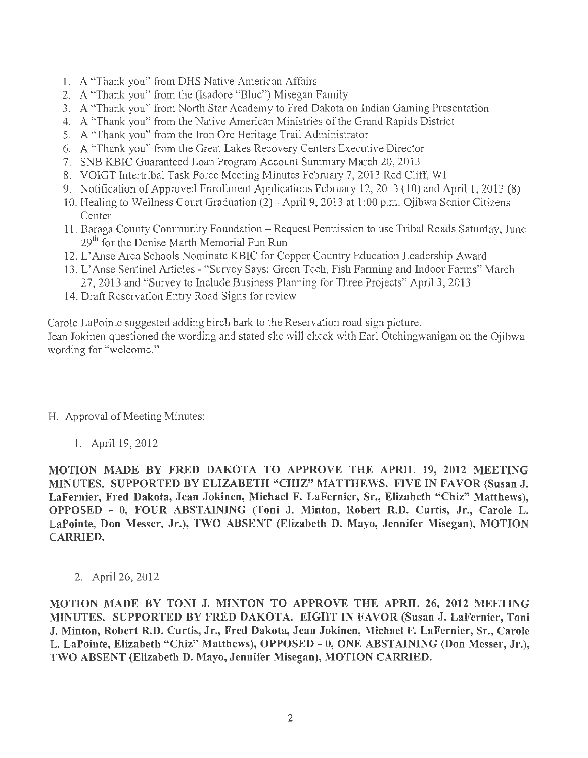- 1. A "Thank you" from DHS Native American Affairs
- 2. A "Thank you" from the (Isadore "Blue") Misegan Family
- 3. A "Thank you" from North Star Academy to Fred Dakota on Indian Gaming Presentation
- 4. A "Thank you" from the Native American Ministries of the Grand Rapids District
- 5. A "Thank you" from the Iron Ore Heritage Trail Administrator
- 6. A "Thank you" from the Great Lakes Recovery Centers Executive Director
- 7. SNB KBIC Guaranteed Loan Program Account Summary March 20, 2013
- 8. VOIGT Intertribal Task Force Meeting Minutes February 7, 2013 Red Cliff, WI
- 9. Notification of Approved Emollment Applications February 12, 2013 (10) and April 1, 2013 (8)
- 10. Healing to Wellness Court Graduation (2) April 9, 2013 at 1 :00 p.m. Ojibwa Senior Citizens **Center**
- 11. Baraga County Community Foundation Request Permission to use Tribal Roads Saturday, June 29<sup>th</sup> for the Denise Marth Memorial Fun Run
- 12. L'Anse Area Schools Nominate KBIC for Copper Country Education Leadership Award
- 13. L'Anse Sentinel Articles "Survey Says: Green Tech, Fish Farming and Indoor Farms" March 27, 2013 and "Survey to Include Business Planning for Three Projects" April 3, 2013
- 14. Draft Reservation Entry Road Signs for review

Carole LaPointe suggested adding birch bark to the Reservation road sign picture.

Jean Jokinen questioned the wording and stated she will check with Earl Otchingwanigan on the Ojibwa wording for "welcome."

## H. Approval of Meeting Minutes:

1. April 19, 2012

MOTION MADE BY FRED DAKOTA TO APPROVE THE APRIL 19, 2012 MEETING MINUTES. SUPPORTED BY ELIZABETH "CHIZ" MATTHEWS. FIVE IN FAVOR (Susan J. LaFernier, Fred Dakota, Jean Jokinen, Michael F. LaFernier, Sr., Elizabeth "Chiz" Matthews), OPPOSED - O, FOUR ABSTAINING (Toni J. Minton, Robert R.D. Curtis, Jr., Carole L. LaPointe, Don Messer, Jr.), TWO ABSENT (Elizabeth D. Mayo, Jennifer Misegan), MOTION CARRIED.

2. April 26, 2012

MOTION MADE BY TONI J. MINTON TO APPROVE THE APRIL 26, 2012 MEETING MINUTES. SUPPORTED BY FRED DAKOTA. EIGHT IN FAVOR (Susan J. LaFernier, Toni J. Minton, Robert R.D. Curtis, Jr., Fred Dakota, Jean Jokinen, Michael F. LaFernier, Sr., Carole L. LaPointe, Elizabeth "Chiz" Matthews), OPPOSED - O, ONE ABSTAINING (Don Messer, Jr.), TWO ABSENT (Elizabeth D. Mayo, Jennifer Misegan), MOTION CARRIED.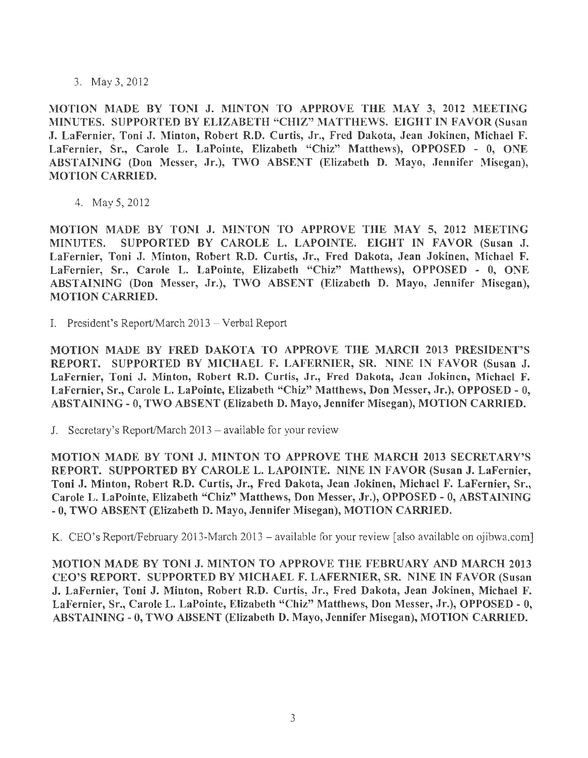3. May 3, 2012

MOTION MADE BY TONI J. MINTON TO APPROVE THE MAY 3, 2012 MEETING MINUTES. SUPPORTED BY ELIZABETH "CHIZ" MATTHEWS. EIGHT IN FAVOR (Susan J. LaFernier, Toni J. Minton, Robert R.D. Curtis, Jr., Fred Dakota, Jean Jokinen, Michael F. LaFernier, Sr., Carole L. LaPointe, Elizabeth "Chiz" Matthews), OPPOSED - 0, ONE ABSTAINING (Don Messer, Jr.), TWO ABSENT (Elizabeth D. Mayo, Jennifer Misegan), MOTION CARRIED.

4. May 5, 2012

MOTION MADE BY TONI J. MINTON TO APPROVE THE MAY 5, 2012 MEETING MINUTES. SUPPORTED BY CAROLE L. LAPOINTE. EIGHT IN FAVOR (Susan J. LaFernier, Toni J. Minton, Robert R.D. Curtis, Jr., Fred Dakota, Jean Jokinen, Michael F. LaFernier, Sr., Carole L. LaPointe, Elizabeth "Chiz" Matthews), OPPOSED - O, ONE ABSTAINING (Don Messer, Jr.), TWO ABSENT (Elizabeth D. Mayo, Jennifer Misegan), MOTION CARRIED.

I. President's Report/March 2013 - Verbal Report

MOTION MADE BY FRED DAKOTA TO APPROVE THE MARCH 2013 PRESIDENT'S REPORT. SUPPORTED BY MICHAEL F. LAFERNIER, SR. NINE IN FAVOR (Susan J. LaFernier, Toni J. Minton, Robert R.D. Curtis, Jr., Fred Dakota, Jean Jokinen, Michael F. LaFernier, Sr., Carole L. LaPointe, Elizabeth "Chiz" Matthews, Don Messer, Jr.), OPPOSED - 0, ABSTAINING - 0, TWO ABSENT (Elizabeth D. Mayo, Jennifer Misegan), MOTION CARRIED.

J. Secretary's Report/March  $2013$  – available for your review

MOTION MADE BY TONI J. MINTON TO APPROVE THE MARCH 2013 SECRETARY'S REPORT. SUPPORTED BY CAROLE L. LAPOINTE. NINE IN FAVOR (Susan J. LaFernier, Toni J. Minton, Robert R.D. Curtis, Jr., Fred Dakota, Jean Jokinen, Michael F. LaFernier, Sr., Carole L. LaPointe, Elizabeth "Chiz" Matthews, Don Messer, Jr.), OPPOSED - 0, ABSTAINING - O, TWO ABSENT (Elizabeth D. Mayo, Jennifer Misegan), MOTION CARRIED.

K. CEO's Report/February 2013-March 2013 – available for your review [also available on ojibwa.com]

MOTION MADE BY TONI J. MINTON TO APPROVE THE FEBRUARY AND MARCH 2013 CEO'S REPORT. SUPPORTED BY MICHAEL F. LAFERNIER, SR. NINE IN FAVOR (Susan J. LaFernier, Toni J. Minton, Robert R.D. Curtis, Jr., Fred Dakota, Jean Jokinen, Michael F. LaFernier, Sr., Carole L. LaPointe, Elizabeth "Chiz" Matthews, Don Messer, Jr.), OPPOSED - O, ABSTAINING - O, TWO ABSENT (Elizabeth D. Mayo, Jennifer Misegan), MOTION CARRIED.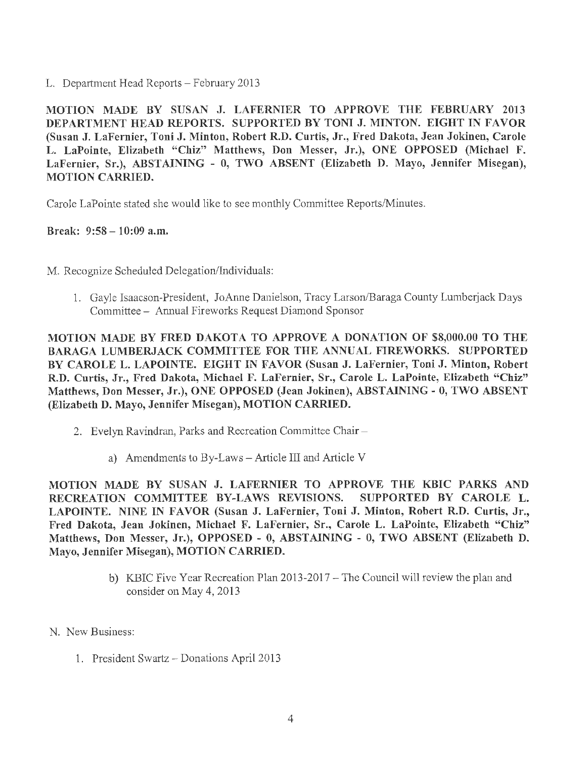L. Department Head Reports - February 2013

MOTION MADE BY SUSAN J. LAFERNIER TO APPROVE THE FEBRUARY 2013 DEPARTMENT HEAD REPORTS. SUPPORTED BY TONI J. MINTON. EIGHT IN FAVOR (Susan J. LaFernier, Toni J. Minton, Robert R.D. Curtis, Jr., Fred Dakota, Jean Jokinen, Carole L. LaPointe, Elizabeth "Chiz" Matthews, Don Messer, Jr.), ONE OPPOSED (Michael F. LaFernier, Sr.), ABSTAINING - O, TWO ABSENT (Elizabeth D. Mayo, Jennifer Misegan), MOTION CARRIED.

Carole LaPointe stated she would like to see monthly Committee Reports/Minutes.

Break:  $9:58 - 10:09$  a.m.

M. Recognize Scheduled Delegation/Individuals:

1. Gayle Isaacson-President, JoAnne Danielson, Tracy Larson/Baraga County Lumberjack Days Committee - Annual Fireworks Request Diamond Sponsor

MOTION MADE BY FRED DAKOTA TO APPROVE A DONATION OF \$8,000.00 TO THE BARAGA LUMBERJACK COMMITTEE FOR THE ANNUAL FIREWORKS. SUPPORTED BY CAROLE L. LAPOINTE. EIGHT IN FAVOR (Susan J. LaFernier, Toni J. Minton, Robert R.D. Curtis, Jr., Fred Dakota, Michael F. LaFernier, Sr., Carole L. LaPointe, Elizabeth "Chiz" Matthews, Don Messer, Jr.), ONE OPPOSED (Jean Jokinen), ABSTAINING - O, TWO ABSENT (Elizabeth D. Mayo, Jennifer Misegan), MOTION CARRIED.

- 2. Evelyn Ravindran, Parks and Recreation Committee Chair
	- a) Amendments to By-Laws Article III and Article V

MOTION MADE BY SUSAN J. LAFERNIER TO APPROVE THE KBIC PARKS AND RECREATION COMMITTEE BY-LAWS REVISIONS. SUPPORTED BY CAROLE L. LAPOINTE. NINE IN FAVOR (Susan J. LaFernier, Toni J. Minton, Robert R.D. Curtis, Jr., Fred Dakota, Jean Jokinen, Michael F. LaFernier, Sr., Carole L. LaPointe, Elizabeth "Chiz" Matthews, Don Messer, Jr.), OPPOSED - 0, ABSTAINING - O, TWO ABSENT (Elizabeth D. Mayo, Jennifer Misegan), MOTION CARRIED.

- b) KBIC Five Year Recreation Plan 2013-2017 The Council will review the plan and consider on May 4, 2013
- N. New Business:
	- 1. President Swartz Donations April 2013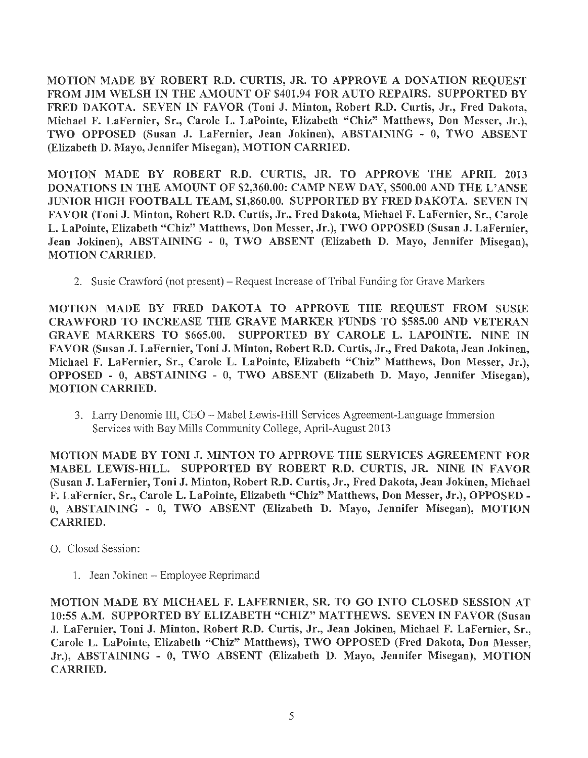MOTION MADE BY ROBERT R.D. CURTIS, JR. TO APPROVE A DONATION REQUEST FROM JIM WELSH IN THE AMOUNT OF \$401.94 FOR AUTO REPAIRS. SUPPORTED BY FRED DAKOTA. SEVEN IN FAVOR (Toni J. Minton, Robert R.D. Curtis, Jr., Fred Dakota, Michael F. LaFernier, Sr., Carole L. LaPointe, Elizabeth "Chiz" Matthews, Don Messer, Jr.), TWO OPPOSED (Susan J. LaFernier, Jean Jokinen), ABSTAINING - O, TWO ABSENT (Elizabeth D. Mayo, Jennifer Misegan), MOTION CARRIED.

MOTION MADE BY ROBERT R.D. CURTIS, JR. TO APPROVE THE APRIL 2013 DONATIONS IN THE AMOUNT OF \$2,360.00: CAMP NEW DAY, \$500.00 AND THE L'ANSE JUNIOR HIGH FOOTBALL TEAM, \$1,860.00. SUPPORTED BY FRED DAKOTA. SEVEN IN FAVOR (Toni J. Minton, Robert R.D. Curtis, Jr., Fred Dakota, Michael F. LaFernier, Sr., Carole L. LaPointe, Elizabeth "Chiz" Matthews, Don Messer, Jr.), TWO OPPOSED (Susan J. LaFernier, Jean Jokinen), ABSTAINING - 0, TWO ABSENT (Elizabeth D. Mayo, Jennifer Misegan), MOTION CARRIED.

2. Susie Crawford (not present) - Request Increase of Tribal Funding for Grave Markers

MOTION MADE BY FRED DAKOTA TO APPROVE THE REQUEST FROM SUSIE CRAWFORD TO INCREASE THE GRAVE MARKER FUNDS TO \$585.00 AND VETERAN GRAVE MARKERS TO \$665.00. SUPPORTED BY CAROLE L. LAPOINTE. NINE IN FAVOR (Susan J. LaFernier, Toni J. Minton, Robert R.D. Curtis, Jr., Fred Dakota, Jean Jokinen, Michael F. LaFernier, Sr., Carole L. LaPointe, Elizabeth "Chiz" Matthews, Don Messer, Jr.), OPPOSED - 0, ABSTAINING - O, TWO ABSENT (Elizabeth D. Mayo, Jennifer Misegan), MOTION CARRIED.

3. Lany Denomie III, CEO-Mabel Lewis-Hill Services Agreement-Language Immersion Services with Bay Mills Community College, April-August 2013

MOTION MADE BY TONI J. MINTON TO APPROVE THE SERVICES AGREEMENT FOR MABEL LEWIS-HILL. SUPPORTED BY ROBERT R.D. CURTIS, JR. NINE IN FAVOR (Susan J. LaFernier, Toni J. Minton, Robert R.D. Curtis, Jr., Fred Dakota, Jean Jokinen, Michael F. LaFernier, Sr., Carole L. LaPointe, Elizabeth "Chiz" Matthews, Don Messer, Jr.), OPPOSED - O, ABSTAINING - O, TWO ABSENT (Elizabeth D. Mayo, Jennifer Misegan), MOTION CARRIED.

- 0. Closed Session:
	- 1. Jean Jokinen Employee Reprimand

MOTION MADE BY MICHAEL F. LAFERNIER, SR. TO GO INTO CLOSED SESSION AT 10:55 A.M. SUPPORTED BY ELIZABETH "CHIZ" MATTHEWS. SEVEN IN FAVOR (Susan J. LaFernier, Toni J. Minton, Robert R.D. Curtis, Jr., Jean Jokinen, Michael F. LaFernier, Sr., Carole L. LaPointe, Elizabeth "Chiz" Matthews), TWO OPPOSED (Fred Dakota, Don Messer, Jr.), ABSTAINING - 0, TWO ABSENT (Elizabeth D. Mayo, Jennifer Misegan), MOTION CARRIED.